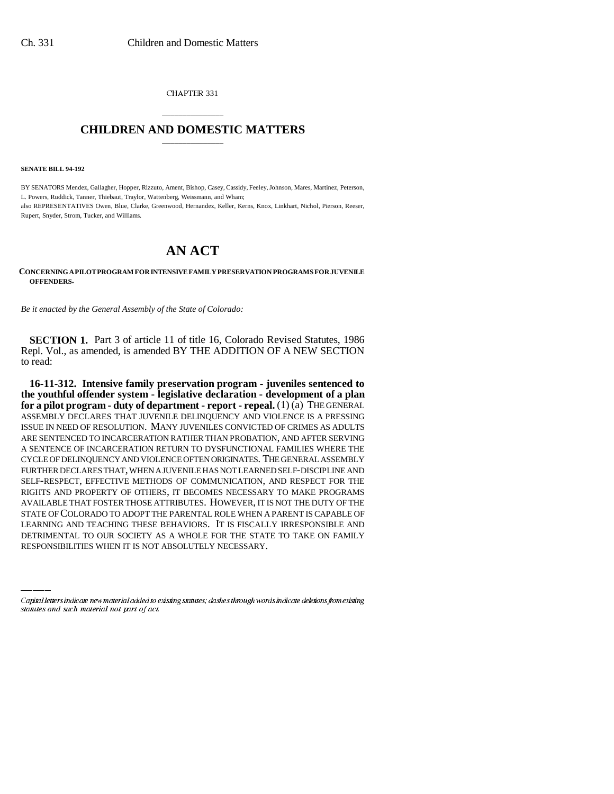CHAPTER 331

## \_\_\_\_\_\_\_\_\_\_\_\_\_\_\_ **CHILDREN AND DOMESTIC MATTERS** \_\_\_\_\_\_\_\_\_\_\_\_\_\_\_

**SENATE BILL 94-192**

BY SENATORS Mendez, Gallagher, Hopper, Rizzuto, Ament, Bishop, Casey, Cassidy, Feeley, Johnson, Mares, Martinez, Peterson, L. Powers, Ruddick, Tanner, Thiebaut, Traylor, Wattenberg, Weissmann, and Wham; also REPRESENTATIVES Owen, Blue, Clarke, Greenwood, Hernandez, Keller, Kerns, Knox, Linkhart, Nichol, Pierson, Reeser, Rupert, Snyder, Strom, Tucker, and Williams.

## **AN ACT**

**CONCERNING A PILOT PROGRAM FOR INTENSIVE FAMILY PRESERVATION PROGRAMS FOR JUVENILE OFFENDERS.**

*Be it enacted by the General Assembly of the State of Colorado:*

**SECTION 1.** Part 3 of article 11 of title 16, Colorado Revised Statutes, 1986 Repl. Vol., as amended, is amended BY THE ADDITION OF A NEW SECTION to read:

STATE OF COLORADO TO ADOPT THE PARENTAL ROLE WHEN A PARENT IS CAPABLE OF **16-11-312. Intensive family preservation program - juveniles sentenced to the youthful offender system - legislative declaration - development of a plan for a pilot program - duty of department - report - repeal.** (1) (a) THE GENERAL ASSEMBLY DECLARES THAT JUVENILE DELINQUENCY AND VIOLENCE IS A PRESSING ISSUE IN NEED OF RESOLUTION. MANY JUVENILES CONVICTED OF CRIMES AS ADULTS ARE SENTENCED TO INCARCERATION RATHER THAN PROBATION, AND AFTER SERVING A SENTENCE OF INCARCERATION RETURN TO DYSFUNCTIONAL FAMILIES WHERE THE CYCLE OF DELINQUENCY AND VIOLENCE OFTEN ORIGINATES. THE GENERAL ASSEMBLY FURTHER DECLARES THAT, WHEN A JUVENILE HAS NOT LEARNED SELF-DISCIPLINE AND SELF-RESPECT, EFFECTIVE METHODS OF COMMUNICATION, AND RESPECT FOR THE RIGHTS AND PROPERTY OF OTHERS, IT BECOMES NECESSARY TO MAKE PROGRAMS AVAILABLE THAT FOSTER THOSE ATTRIBUTES. HOWEVER, IT IS NOT THE DUTY OF THE LEARNING AND TEACHING THESE BEHAVIORS. IT IS FISCALLY IRRESPONSIBLE AND DETRIMENTAL TO OUR SOCIETY AS A WHOLE FOR THE STATE TO TAKE ON FAMILY RESPONSIBILITIES WHEN IT IS NOT ABSOLUTELY NECESSARY.

Capital letters indicate new material added to existing statutes; dashes through words indicate deletions from existing statutes and such material not part of act.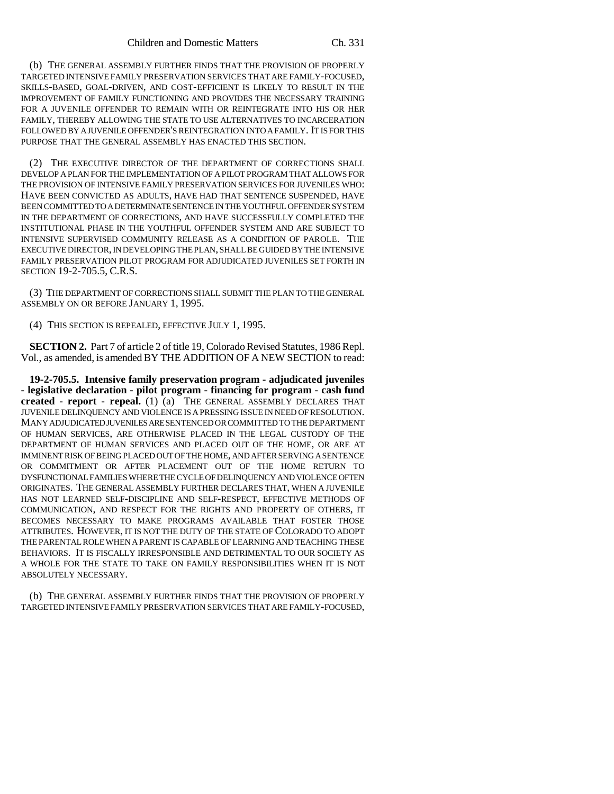(b) THE GENERAL ASSEMBLY FURTHER FINDS THAT THE PROVISION OF PROPERLY TARGETED INTENSIVE FAMILY PRESERVATION SERVICES THAT ARE FAMILY-FOCUSED, SKILLS-BASED, GOAL-DRIVEN, AND COST-EFFICIENT IS LIKELY TO RESULT IN THE IMPROVEMENT OF FAMILY FUNCTIONING AND PROVIDES THE NECESSARY TRAINING FOR A JUVENILE OFFENDER TO REMAIN WITH OR REINTEGRATE INTO HIS OR HER FAMILY, THEREBY ALLOWING THE STATE TO USE ALTERNATIVES TO INCARCERATION FOLLOWED BY A JUVENILE OFFENDER'S REINTEGRATION INTO A FAMILY. IT IS FOR THIS PURPOSE THAT THE GENERAL ASSEMBLY HAS ENACTED THIS SECTION.

(2) THE EXECUTIVE DIRECTOR OF THE DEPARTMENT OF CORRECTIONS SHALL DEVELOP A PLAN FOR THE IMPLEMENTATION OF A PILOT PROGRAM THAT ALLOWS FOR THE PROVISION OF INTENSIVE FAMILY PRESERVATION SERVICES FOR JUVENILES WHO: HAVE BEEN CONVICTED AS ADULTS, HAVE HAD THAT SENTENCE SUSPENDED, HAVE BEEN COMMITTED TO A DETERMINATE SENTENCE IN THE YOUTHFUL OFFENDER SYSTEM IN THE DEPARTMENT OF CORRECTIONS, AND HAVE SUCCESSFULLY COMPLETED THE INSTITUTIONAL PHASE IN THE YOUTHFUL OFFENDER SYSTEM AND ARE SUBJECT TO INTENSIVE SUPERVISED COMMUNITY RELEASE AS A CONDITION OF PAROLE. THE EXECUTIVE DIRECTOR, IN DEVELOPING THE PLAN, SHALL BE GUIDED BY THE INTENSIVE FAMILY PRESERVATION PILOT PROGRAM FOR ADJUDICATED JUVENILES SET FORTH IN SECTION 19-2-705.5, C.R.S.

(3) THE DEPARTMENT OF CORRECTIONS SHALL SUBMIT THE PLAN TO THE GENERAL ASSEMBLY ON OR BEFORE JANUARY 1, 1995.

(4) THIS SECTION IS REPEALED, EFFECTIVE JULY 1, 1995.

**SECTION 2.** Part 7 of article 2 of title 19, Colorado Revised Statutes, 1986 Repl. Vol., as amended, is amended BY THE ADDITION OF A NEW SECTION to read:

**19-2-705.5. Intensive family preservation program - adjudicated juveniles - legislative declaration - pilot program - financing for program - cash fund created - report - repeal.** (1) (a) THE GENERAL ASSEMBLY DECLARES THAT JUVENILE DELINQUENCY AND VIOLENCE IS A PRESSING ISSUE IN NEED OF RESOLUTION. MANY ADJUDICATED JUVENILES ARE SENTENCED OR COMMITTED TO THE DEPARTMENT OF HUMAN SERVICES, ARE OTHERWISE PLACED IN THE LEGAL CUSTODY OF THE DEPARTMENT OF HUMAN SERVICES AND PLACED OUT OF THE HOME, OR ARE AT IMMINENT RISK OF BEING PLACED OUT OF THE HOME, AND AFTER SERVING A SENTENCE OR COMMITMENT OR AFTER PLACEMENT OUT OF THE HOME RETURN TO DYSFUNCTIONAL FAMILIES WHERE THE CYCLE OF DELINQUENCY AND VIOLENCE OFTEN ORIGINATES. THE GENERAL ASSEMBLY FURTHER DECLARES THAT, WHEN A JUVENILE HAS NOT LEARNED SELF-DISCIPLINE AND SELF-RESPECT, EFFECTIVE METHODS OF COMMUNICATION, AND RESPECT FOR THE RIGHTS AND PROPERTY OF OTHERS, IT BECOMES NECESSARY TO MAKE PROGRAMS AVAILABLE THAT FOSTER THOSE ATTRIBUTES. HOWEVER, IT IS NOT THE DUTY OF THE STATE OF COLORADO TO ADOPT THE PARENTAL ROLE WHEN A PARENT IS CAPABLE OF LEARNING AND TEACHING THESE BEHAVIORS. IT IS FISCALLY IRRESPONSIBLE AND DETRIMENTAL TO OUR SOCIETY AS A WHOLE FOR THE STATE TO TAKE ON FAMILY RESPONSIBILITIES WHEN IT IS NOT ABSOLUTELY NECESSARY.

(b) THE GENERAL ASSEMBLY FURTHER FINDS THAT THE PROVISION OF PROPERLY TARGETED INTENSIVE FAMILY PRESERVATION SERVICES THAT ARE FAMILY-FOCUSED,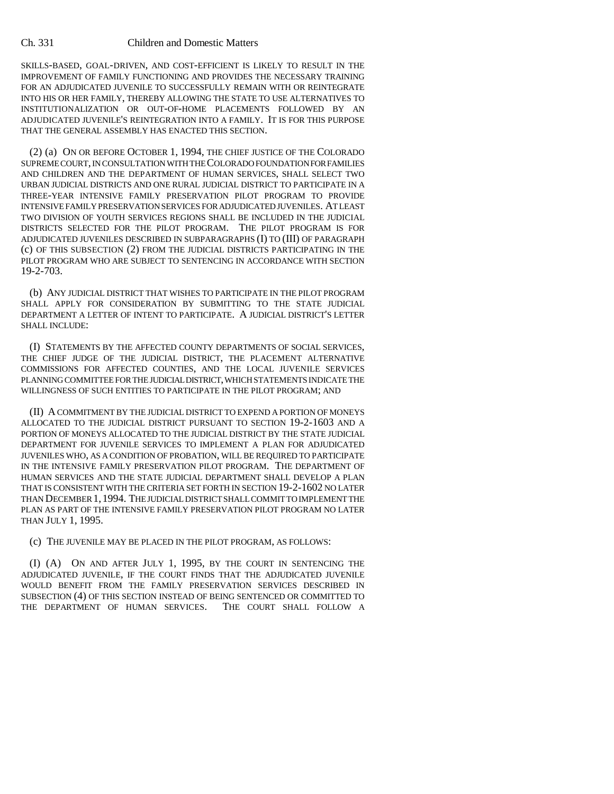## Ch. 331 Children and Domestic Matters

SKILLS-BASED, GOAL-DRIVEN, AND COST-EFFICIENT IS LIKELY TO RESULT IN THE IMPROVEMENT OF FAMILY FUNCTIONING AND PROVIDES THE NECESSARY TRAINING FOR AN ADJUDICATED JUVENILE TO SUCCESSFULLY REMAIN WITH OR REINTEGRATE INTO HIS OR HER FAMILY, THEREBY ALLOWING THE STATE TO USE ALTERNATIVES TO INSTITUTIONALIZATION OR OUT-OF-HOME PLACEMENTS FOLLOWED BY AN ADJUDICATED JUVENILE'S REINTEGRATION INTO A FAMILY. IT IS FOR THIS PURPOSE THAT THE GENERAL ASSEMBLY HAS ENACTED THIS SECTION.

(2) (a) ON OR BEFORE OCTOBER 1, 1994, THE CHIEF JUSTICE OF THE COLORADO SUPREME COURT, IN CONSULTATION WITH THE COLORADO FOUNDATION FOR FAMILIES AND CHILDREN AND THE DEPARTMENT OF HUMAN SERVICES, SHALL SELECT TWO URBAN JUDICIAL DISTRICTS AND ONE RURAL JUDICIAL DISTRICT TO PARTICIPATE IN A THREE-YEAR INTENSIVE FAMILY PRESERVATION PILOT PROGRAM TO PROVIDE INTENSIVE FAMILY PRESERVATION SERVICES FOR ADJUDICATED JUVENILES. AT LEAST TWO DIVISION OF YOUTH SERVICES REGIONS SHALL BE INCLUDED IN THE JUDICIAL DISTRICTS SELECTED FOR THE PILOT PROGRAM. THE PILOT PROGRAM IS FOR ADJUDICATED JUVENILES DESCRIBED IN SUBPARAGRAPHS (I) TO (III) OF PARAGRAPH (c) OF THIS SUBSECTION (2) FROM THE JUDICIAL DISTRICTS PARTICIPATING IN THE PILOT PROGRAM WHO ARE SUBJECT TO SENTENCING IN ACCORDANCE WITH SECTION 19-2-703.

(b) ANY JUDICIAL DISTRICT THAT WISHES TO PARTICIPATE IN THE PILOT PROGRAM SHALL APPLY FOR CONSIDERATION BY SUBMITTING TO THE STATE JUDICIAL DEPARTMENT A LETTER OF INTENT TO PARTICIPATE. A JUDICIAL DISTRICT'S LETTER SHALL INCLUDE:

(I) STATEMENTS BY THE AFFECTED COUNTY DEPARTMENTS OF SOCIAL SERVICES, THE CHIEF JUDGE OF THE JUDICIAL DISTRICT, THE PLACEMENT ALTERNATIVE COMMISSIONS FOR AFFECTED COUNTIES, AND THE LOCAL JUVENILE SERVICES PLANNING COMMITTEE FOR THE JUDICIAL DISTRICT, WHICH STATEMENTS INDICATE THE WILLINGNESS OF SUCH ENTITIES TO PARTICIPATE IN THE PILOT PROGRAM; AND

(II) A COMMITMENT BY THE JUDICIAL DISTRICT TO EXPEND A PORTION OF MONEYS ALLOCATED TO THE JUDICIAL DISTRICT PURSUANT TO SECTION 19-2-1603 AND A PORTION OF MONEYS ALLOCATED TO THE JUDICIAL DISTRICT BY THE STATE JUDICIAL DEPARTMENT FOR JUVENILE SERVICES TO IMPLEMENT A PLAN FOR ADJUDICATED JUVENILES WHO, AS A CONDITION OF PROBATION, WILL BE REQUIRED TO PARTICIPATE IN THE INTENSIVE FAMILY PRESERVATION PILOT PROGRAM. THE DEPARTMENT OF HUMAN SERVICES AND THE STATE JUDICIAL DEPARTMENT SHALL DEVELOP A PLAN THAT IS CONSISTENT WITH THE CRITERIA SET FORTH IN SECTION 19-2-1602 NO LATER THAN DECEMBER 1,1994. THE JUDICIAL DISTRICT SHALL COMMIT TO IMPLEMENT THE PLAN AS PART OF THE INTENSIVE FAMILY PRESERVATION PILOT PROGRAM NO LATER THAN JULY 1, 1995.

(c) THE JUVENILE MAY BE PLACED IN THE PILOT PROGRAM, AS FOLLOWS:

(I) (A) ON AND AFTER JULY 1, 1995, BY THE COURT IN SENTENCING THE ADJUDICATED JUVENILE, IF THE COURT FINDS THAT THE ADJUDICATED JUVENILE WOULD BENEFIT FROM THE FAMILY PRESERVATION SERVICES DESCRIBED IN SUBSECTION (4) OF THIS SECTION INSTEAD OF BEING SENTENCED OR COMMITTED TO THE DEPARTMENT OF HUMAN SERVICES. THE COURT SHALL FOLLOW A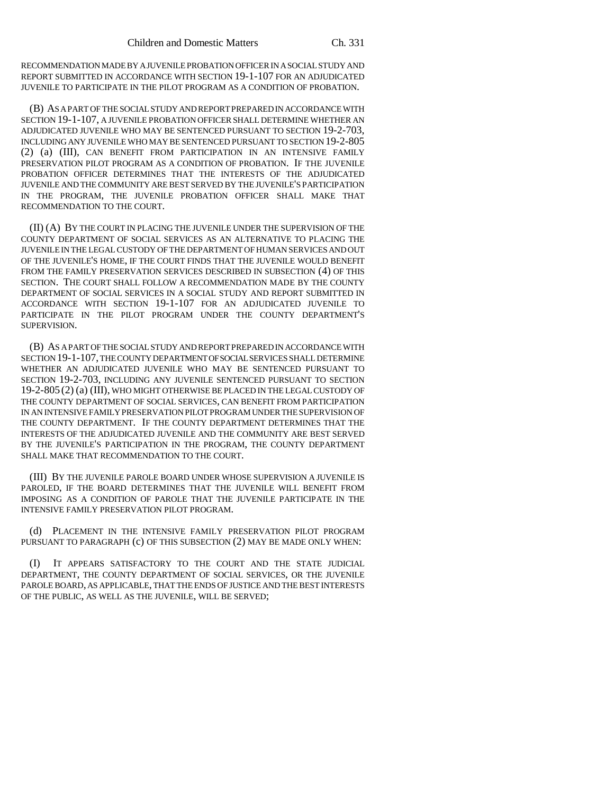RECOMMENDATION MADE BY A JUVENILE PROBATION OFFICER IN A SOCIAL STUDY AND REPORT SUBMITTED IN ACCORDANCE WITH SECTION 19-1-107 FOR AN ADJUDICATED JUVENILE TO PARTICIPATE IN THE PILOT PROGRAM AS A CONDITION OF PROBATION.

(B) AS A PART OF THE SOCIAL STUDY AND REPORT PREPARED IN ACCORDANCE WITH SECTION 19-1-107, A JUVENILE PROBATION OFFICER SHALL DETERMINE WHETHER AN ADJUDICATED JUVENILE WHO MAY BE SENTENCED PURSUANT TO SECTION 19-2-703, INCLUDING ANY JUVENILE WHO MAY BE SENTENCED PURSUANT TO SECTION 19-2-805 (2) (a) (III), CAN BENEFIT FROM PARTICIPATION IN AN INTENSIVE FAMILY PRESERVATION PILOT PROGRAM AS A CONDITION OF PROBATION. IF THE JUVENILE PROBATION OFFICER DETERMINES THAT THE INTERESTS OF THE ADJUDICATED JUVENILE AND THE COMMUNITY ARE BEST SERVED BY THE JUVENILE'S PARTICIPATION IN THE PROGRAM, THE JUVENILE PROBATION OFFICER SHALL MAKE THAT RECOMMENDATION TO THE COURT.

(II) (A) BY THE COURT IN PLACING THE JUVENILE UNDER THE SUPERVISION OF THE COUNTY DEPARTMENT OF SOCIAL SERVICES AS AN ALTERNATIVE TO PLACING THE JUVENILE IN THE LEGAL CUSTODY OF THE DEPARTMENT OF HUMAN SERVICES AND OUT OF THE JUVENILE'S HOME, IF THE COURT FINDS THAT THE JUVENILE WOULD BENEFIT FROM THE FAMILY PRESERVATION SERVICES DESCRIBED IN SUBSECTION (4) OF THIS SECTION. THE COURT SHALL FOLLOW A RECOMMENDATION MADE BY THE COUNTY DEPARTMENT OF SOCIAL SERVICES IN A SOCIAL STUDY AND REPORT SUBMITTED IN ACCORDANCE WITH SECTION 19-1-107 FOR AN ADJUDICATED JUVENILE TO PARTICIPATE IN THE PILOT PROGRAM UNDER THE COUNTY DEPARTMENT'S SUPERVISION.

(B) AS A PART OF THE SOCIAL STUDY AND REPORT PREPARED IN ACCORDANCE WITH SECTION 19-1-107, THE COUNTY DEPARTMENT OF SOCIAL SERVICES SHALL DETERMINE WHETHER AN ADJUDICATED JUVENILE WHO MAY BE SENTENCED PURSUANT TO SECTION 19-2-703, INCLUDING ANY JUVENILE SENTENCED PURSUANT TO SECTION 19-2-805 (2) (a) (III), WHO MIGHT OTHERWISE BE PLACED IN THE LEGAL CUSTODY OF THE COUNTY DEPARTMENT OF SOCIAL SERVICES, CAN BENEFIT FROM PARTICIPATION IN AN INTENSIVE FAMILY PRESERVATION PILOT PROGRAM UNDER THE SUPERVISION OF THE COUNTY DEPARTMENT. IF THE COUNTY DEPARTMENT DETERMINES THAT THE INTERESTS OF THE ADJUDICATED JUVENILE AND THE COMMUNITY ARE BEST SERVED BY THE JUVENILE'S PARTICIPATION IN THE PROGRAM, THE COUNTY DEPARTMENT SHALL MAKE THAT RECOMMENDATION TO THE COURT.

(III) BY THE JUVENILE PAROLE BOARD UNDER WHOSE SUPERVISION A JUVENILE IS PAROLED, IF THE BOARD DETERMINES THAT THE JUVENILE WILL BENEFIT FROM IMPOSING AS A CONDITION OF PAROLE THAT THE JUVENILE PARTICIPATE IN THE INTENSIVE FAMILY PRESERVATION PILOT PROGRAM.

(d) PLACEMENT IN THE INTENSIVE FAMILY PRESERVATION PILOT PROGRAM PURSUANT TO PARAGRAPH (c) OF THIS SUBSECTION (2) MAY BE MADE ONLY WHEN:

(I) IT APPEARS SATISFACTORY TO THE COURT AND THE STATE JUDICIAL DEPARTMENT, THE COUNTY DEPARTMENT OF SOCIAL SERVICES, OR THE JUVENILE PAROLE BOARD, AS APPLICABLE, THAT THE ENDS OF JUSTICE AND THE BEST INTERESTS OF THE PUBLIC, AS WELL AS THE JUVENILE, WILL BE SERVED;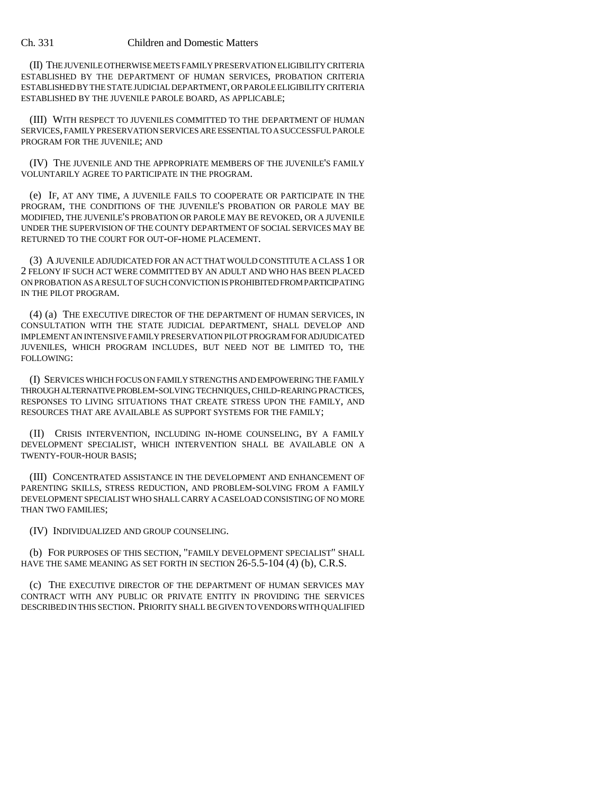## Ch. 331 Children and Domestic Matters

(II) THE JUVENILE OTHERWISE MEETS FAMILY PRESERVATION ELIGIBILITY CRITERIA ESTABLISHED BY THE DEPARTMENT OF HUMAN SERVICES, PROBATION CRITERIA ESTABLISHED BY THE STATE JUDICIAL DEPARTMENT, OR PAROLE ELIGIBILITY CRITERIA ESTABLISHED BY THE JUVENILE PAROLE BOARD, AS APPLICABLE;

(III) WITH RESPECT TO JUVENILES COMMITTED TO THE DEPARTMENT OF HUMAN SERVICES, FAMILY PRESERVATION SERVICES ARE ESSENTIAL TO A SUCCESSFUL PAROLE PROGRAM FOR THE JUVENILE; AND

(IV) THE JUVENILE AND THE APPROPRIATE MEMBERS OF THE JUVENILE'S FAMILY VOLUNTARILY AGREE TO PARTICIPATE IN THE PROGRAM.

(e) IF, AT ANY TIME, A JUVENILE FAILS TO COOPERATE OR PARTICIPATE IN THE PROGRAM, THE CONDITIONS OF THE JUVENILE'S PROBATION OR PAROLE MAY BE MODIFIED, THE JUVENILE'S PROBATION OR PAROLE MAY BE REVOKED, OR A JUVENILE UNDER THE SUPERVISION OF THE COUNTY DEPARTMENT OF SOCIAL SERVICES MAY BE RETURNED TO THE COURT FOR OUT-OF-HOME PLACEMENT.

(3) A JUVENILE ADJUDICATED FOR AN ACT THAT WOULD CONSTITUTE A CLASS 1 OR 2 FELONY IF SUCH ACT WERE COMMITTED BY AN ADULT AND WHO HAS BEEN PLACED ON PROBATION AS A RESULT OF SUCH CONVICTION IS PROHIBITED FROM PARTICIPATING IN THE PILOT PROGRAM.

(4) (a) THE EXECUTIVE DIRECTOR OF THE DEPARTMENT OF HUMAN SERVICES, IN CONSULTATION WITH THE STATE JUDICIAL DEPARTMENT, SHALL DEVELOP AND IMPLEMENT AN INTENSIVE FAMILY PRESERVATION PILOT PROGRAM FOR ADJUDICATED JUVENILES, WHICH PROGRAM INCLUDES, BUT NEED NOT BE LIMITED TO, THE FOLLOWING:

(I) SERVICES WHICH FOCUS ON FAMILY STRENGTHS AND EMPOWERING THE FAMILY THROUGH ALTERNATIVE PROBLEM-SOLVING TECHNIQUES, CHILD-REARING PRACTICES, RESPONSES TO LIVING SITUATIONS THAT CREATE STRESS UPON THE FAMILY, AND RESOURCES THAT ARE AVAILABLE AS SUPPORT SYSTEMS FOR THE FAMILY;

(II) CRISIS INTERVENTION, INCLUDING IN-HOME COUNSELING, BY A FAMILY DEVELOPMENT SPECIALIST, WHICH INTERVENTION SHALL BE AVAILABLE ON A TWENTY-FOUR-HOUR BASIS;

(III) CONCENTRATED ASSISTANCE IN THE DEVELOPMENT AND ENHANCEMENT OF PARENTING SKILLS, STRESS REDUCTION, AND PROBLEM-SOLVING FROM A FAMILY DEVELOPMENT SPECIALIST WHO SHALL CARRY A CASELOAD CONSISTING OF NO MORE THAN TWO FAMILIES;

(IV) INDIVIDUALIZED AND GROUP COUNSELING.

(b) FOR PURPOSES OF THIS SECTION, "FAMILY DEVELOPMENT SPECIALIST" SHALL HAVE THE SAME MEANING AS SET FORTH IN SECTION 26-5.5-104 (4) (b), C.R.S.

(c) THE EXECUTIVE DIRECTOR OF THE DEPARTMENT OF HUMAN SERVICES MAY CONTRACT WITH ANY PUBLIC OR PRIVATE ENTITY IN PROVIDING THE SERVICES DESCRIBED IN THIS SECTION. PRIORITY SHALL BE GIVEN TO VENDORS WITH QUALIFIED